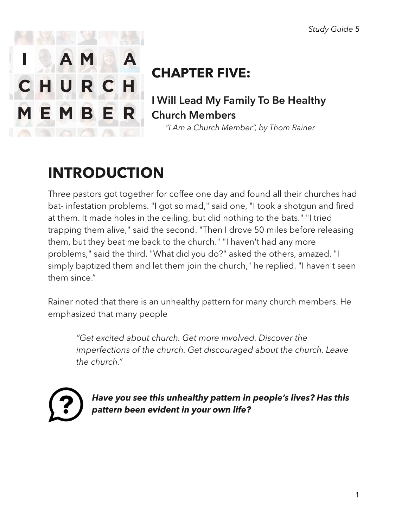

# **CHAPTER FIVE:**

**I Will Lead My Family To Be Healthy Church Members** 

 *"I Am a Church Member", by Thom Rainer* 

# **INTRODUCTION**

Three pastors got together for coffee one day and found all their churches had bat- infestation problems. "I got so mad," said one, "I took a shotgun and fired at them. It made holes in the ceiling, but did nothing to the bats." "I tried trapping them alive," said the second. "Then I drove 50 miles before releasing them, but they beat me back to the church." "I haven't had any more problems," said the third. "What did you do?" asked the others, amazed. "I simply baptized them and let them join the church," he replied. "I haven't seen them since."

Rainer noted that there is an unhealthy pattern for many church members. He emphasized that many people

*"Get excited about church. Get more involved. Discover the imperfections of the church. Get discouraged about the church. Leave the church."* 

*Have you see this unhealthy pattern in people's lives? Has this pattern been evident in your own life?*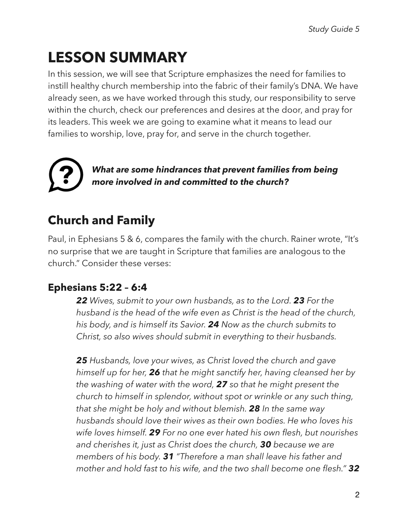# **LESSON SUMMARY**

In this session, we will see that Scripture emphasizes the need for families to instill healthy church membership into the fabric of their family's DNA. We have already seen, as we have worked through this study, our responsibility to serve within the church, check our preferences and desires at the door, and pray for its leaders. This week we are going to examine what it means to lead our families to worship, love, pray for, and serve in the church together.

*What are some hindrances that prevent families from being more involved in and committed to the church?* 

# **Church and Family**

Paul, in Ephesians 5 & 6, compares the family with the church. Rainer wrote, "It's no surprise that we are taught in Scripture that families are analogous to the church." Consider these verses:

### **Ephesians 5:22 – 6:4**

*22 Wives, submit to your own husbands, as to the Lord. 23 For the husband is the head of the wife even as Christ is the head of the church, his body, and is himself its Savior. 24 Now as the church submits to Christ, so also wives should submit in everything to their husbands.* 

*25 Husbands, love your wives, as Christ loved the church and gave himself up for her, 26 that he might sanctify her, having cleansed her by the washing of water with the word, 27 so that he might present the church to himself in splendor, without spot or wrinkle or any such thing, that she might be holy and without blemish. 28 In the same way husbands should love their wives as their own bodies. He who loves his wife loves himself. 29 For no one ever hated his own flesh, but nourishes and cherishes it, just as Christ does the church, 30 because we are members of his body. 31 "Therefore a man shall leave his father and mother and hold fast to his wife, and the two shall become one flesh." 32*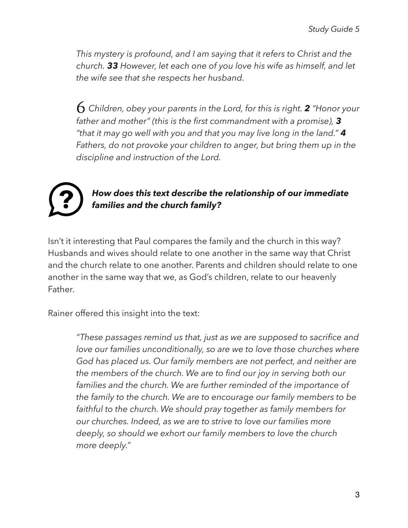*This mystery is profound, and I am saying that it refers to Christ and the church. 33 However, let each one of you love his wife as himself, and let the wife see that she respects her husband.* 

6 *Children, obey your parents in the Lord, for this is right. 2 "Honor your father and mother" (this is the first commandment with a promise), 3 "that it may go well with you and that you may live long in the land." 4 Fathers, do not provoke your children to anger, but bring them up in the discipline and instruction of the Lord.* 



#### *How does this text describe the relationship of our immediate families and the church family?*

Isn't it interesting that Paul compares the family and the church in this way? Husbands and wives should relate to one another in the same way that Christ and the church relate to one another. Parents and children should relate to one another in the same way that we, as God's children, relate to our heavenly Father.

Rainer offered this insight into the text:

*"These passages remind us that, just as we are supposed to sacrifice and*  love our families unconditionally, so are we to love those churches where *God has placed us. Our family members are not perfect, and neither are the members of the church. We are to find our joy in serving both our families and the church. We are further reminded of the importance of the family to the church. We are to encourage our family members to be faithful to the church. We should pray together as family members for our churches. Indeed, as we are to strive to love our families more deeply, so should we exhort our family members to love the church more deeply."*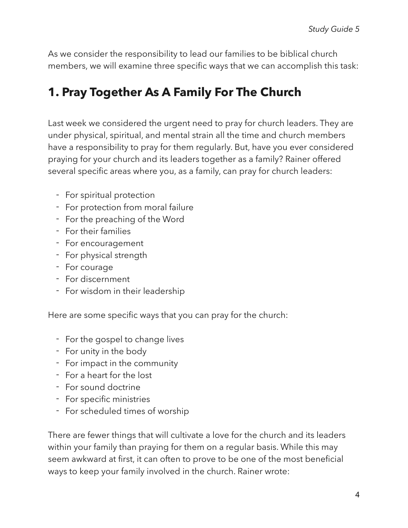As we consider the responsibility to lead our families to be biblical church members, we will examine three specific ways that we can accomplish this task:

## **1. Pray Together As A Family For The Church**

Last week we considered the urgent need to pray for church leaders. They are under physical, spiritual, and mental strain all the time and church members have a responsibility to pray for them regularly. But, have you ever considered praying for your church and its leaders together as a family? Rainer offered several specific areas where you, as a family, can pray for church leaders:

- For spiritual protection
- For protection from moral failure
- For the preaching of the Word
- For their families
- For encouragement
- For physical strength
- For courage
- For discernment
- For wisdom in their leadership

Here are some specific ways that you can pray for the church:

- For the gospel to change lives
- For unity in the body
- For impact in the community
- For a heart for the lost
- For sound doctrine
- For specific ministries
- For scheduled times of worship

There are fewer things that will cultivate a love for the church and its leaders within your family than praying for them on a regular basis. While this may seem awkward at first, it can often to prove to be one of the most beneficial ways to keep your family involved in the church. Rainer wrote: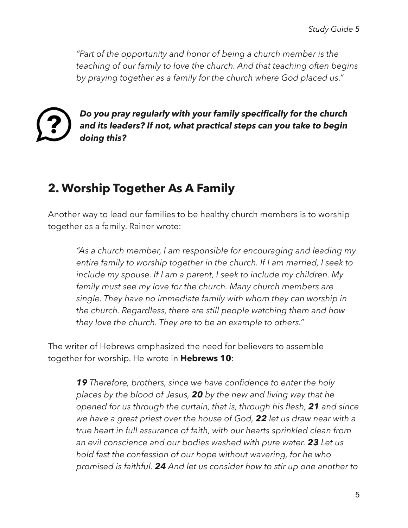*"Part of the opportunity and honor of being a church member is the teaching of our family to love the church. And that teaching often begins by praying together as a family for the church where God placed us."* 



*Do you pray regularly with your family specifically for the church and its leaders? If not, what practical steps can you take to begin doing this?* 

## **2. Worship Together As A Family**

Another way to lead our families to be healthy church members is to worship together as a family. Rainer wrote:

*"As a church member, I am responsible for encouraging and leading my entire family to worship together in the church. If I am married, I seek to include my spouse. If I am a parent, I seek to include my children. My family must see my love for the church. Many church members are single. They have no immediate family with whom they can worship in the church. Regardless, there are still people watching them and how they love the church. They are to be an example to others."* 

The writer of Hebrews emphasized the need for believers to assemble together for worship. He wrote in **Hebrews 10**:

> *19 Therefore, brothers, since we have confidence to enter the holy places by the blood of Jesus, 20 by the new and living way that he opened for us through the curtain, that is, through his flesh, 21 and since we have a great priest over the house of God, 22 let us draw near with a true heart in full assurance of faith, with our hearts sprinkled clean from an evil conscience and our bodies washed with pure water. 23 Let us hold fast the confession of our hope without wavering, for he who promised is faithful. 24 And let us consider how to stir up one another to*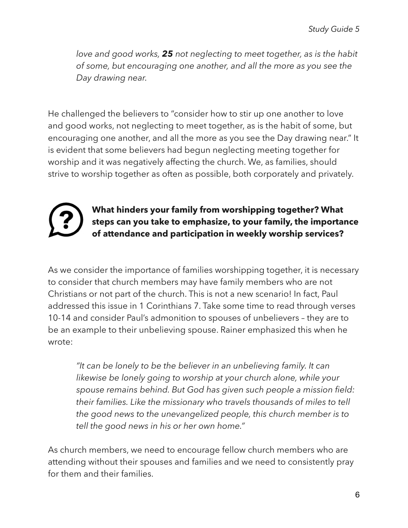*love and good works, 25 not neglecting to meet together, as is the habit of some, but encouraging one another, and all the more as you see the Day drawing near.* 

He challenged the believers to "consider how to stir up one another to love and good works, not neglecting to meet together, as is the habit of some, but encouraging one another, and all the more as you see the Day drawing near." It is evident that some believers had begun neglecting meeting together for worship and it was negatively affecting the church. We, as families, should strive to worship together as often as possible, both corporately and privately.



#### **What hinders your family from worshipping together? What steps can you take to emphasize, to your family, the importance of attendance and participation in weekly worship services?**

As we consider the importance of families worshipping together, it is necessary to consider that church members may have family members who are not Christians or not part of the church. This is not a new scenario! In fact, Paul addressed this issue in 1 Corinthians 7. Take some time to read through verses 10-14 and consider Paul's admonition to spouses of unbelievers – they are to be an example to their unbelieving spouse. Rainer emphasized this when he wrote:

*"It can be lonely to be the believer in an unbelieving family. It can likewise be lonely going to worship at your church alone, while your spouse remains behind. But God has given such people a mission field: their families. Like the missionary who travels thousands of miles to tell the good news to the unevangelized people, this church member is to tell the good news in his or her own home."* 

As church members, we need to encourage fellow church members who are attending without their spouses and families and we need to consistently pray for them and their families.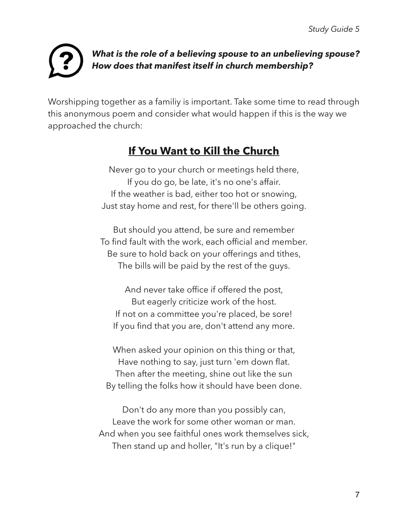

#### *What is the role of a believing spouse to an unbelieving spouse? How does that manifest itself in church membership?*

Worshipping together as a familiy is important. Take some time to read through this anonymous poem and consider what would happen if this is the way we approached the church:

### **If You Want to Kill the Church**

Never go to your church or meetings held there, If you do go, be late, it's no one's affair. If the weather is bad, either too hot or snowing, Just stay home and rest, for there'll be others going.

But should you attend, be sure and remember To find fault with the work, each official and member. Be sure to hold back on your offerings and tithes, The bills will be paid by the rest of the guys.

And never take office if offered the post, But eagerly criticize work of the host. If not on a committee you're placed, be sore! If you find that you are, don't attend any more.

When asked your opinion on this thing or that, Have nothing to say, just turn 'em down flat. Then after the meeting, shine out like the sun By telling the folks how it should have been done.

Don't do any more than you possibly can, Leave the work for some other woman or man. And when you see faithful ones work themselves sick, Then stand up and holler, "It's run by a clique!"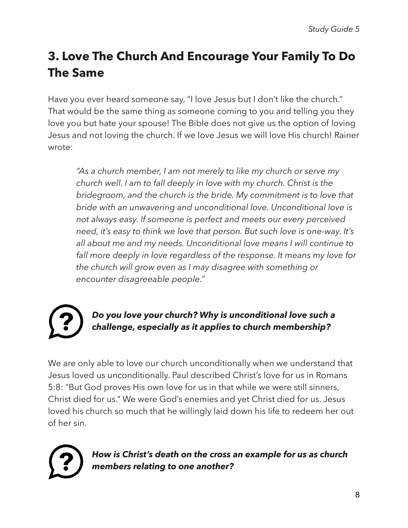# **3. Love The Church And Encourage Your Family To Do The Same**

Have you ever heard someone say, "I love Jesus but I don't like the church." That would be the same thing as someone coming to you and telling you they love you but hate your spouse! The Bible does not give us the option of loving Jesus and not loving the church. If we love Jesus we will love His church! Rainer wrote:

*"As a church member, I am not merely to like my church or serve my church well. I am to fall deeply in love with my church. Christ is the bridegroom, and the church is the bride. My commitment is to love that bride with an unwavering and unconditional love. Unconditional love is not always easy. If someone is perfect and meets our every perceived need, it's easy to think we love that person. But such love is one-way. It's all about me and my needs. Unconditional love means I will continue to fall more deeply in love regardless of the response. It means my love for the church will grow even as I may disagree with something or encounter disagreeable people."* 

#### *Do you love your church? Why is unconditional love such a challenge, especially as it applies to church membership?*

We are only able to love our church unconditionally when we understand that Jesus loved us unconditionally. Paul described Christ's love for us in Romans 5:8: "But God proves His own love for us in that while we were still sinners, Christ died for us." We were God's enemies and yet Christ died for us. Jesus loved his church so much that he willingly laid down his life to redeem her out of her sin.



*How is Christ's death on the cross an example for us as church members relating to one another?*